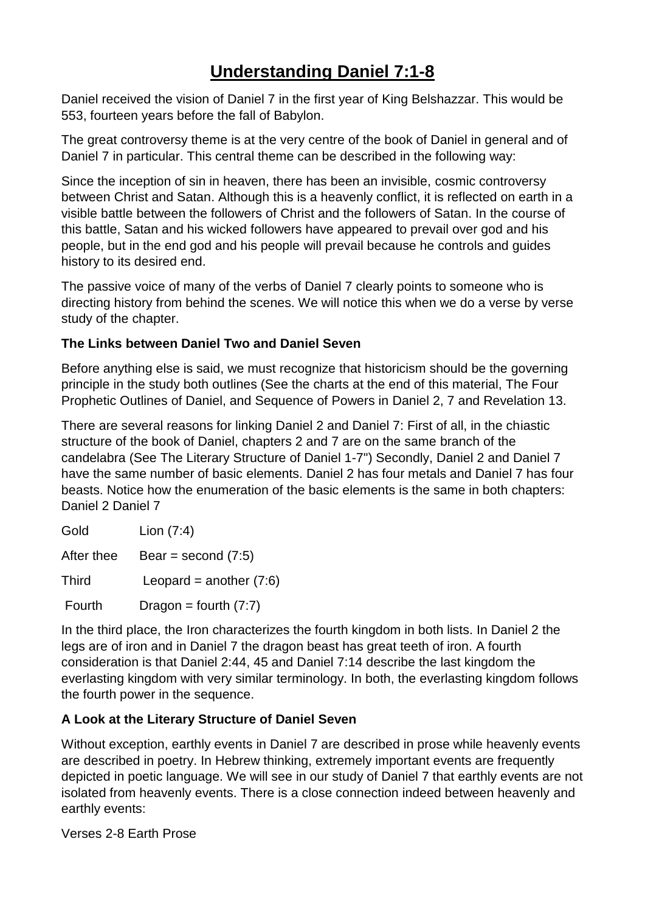# **Understanding Daniel 7:1-8**

Daniel received the vision of Daniel 7 in the first year of King Belshazzar. This would be 553, fourteen years before the fall of Babylon.

The great controversy theme is at the very centre of the book of Daniel in general and of Daniel 7 in particular. This central theme can be described in the following way:

Since the inception of sin in heaven, there has been an invisible, cosmic controversy between Christ and Satan. Although this is a heavenly conflict, it is reflected on earth in a visible battle between the followers of Christ and the followers of Satan. In the course of this battle, Satan and his wicked followers have appeared to prevail over god and his people, but in the end god and his people will prevail because he controls and guides history to its desired end.

The passive voice of many of the verbs of Daniel 7 clearly points to someone who is directing history from behind the scenes. We will notice this when we do a verse by verse study of the chapter.

### **The Links between Daniel Two and Daniel Seven**

Before anything else is said, we must recognize that historicism should be the governing principle in the study both outlines (See the charts at the end of this material, The Four Prophetic Outlines of Daniel, and Sequence of Powers in Daniel 2, 7 and Revelation 13.

There are several reasons for linking Daniel 2 and Daniel 7: First of all, in the chiastic structure of the book of Daniel, chapters 2 and 7 are on the same branch of the candelabra (See The Literary Structure of Daniel 1-7") Secondly, Daniel 2 and Daniel 7 have the same number of basic elements. Daniel 2 has four metals and Daniel 7 has four beasts. Notice how the enumeration of the basic elements is the same in both chapters: Daniel 2 Daniel 7

| Gold         | Lion $(7:4)$              |
|--------------|---------------------------|
| After thee   | Bear = second $(7:5)$     |
| <b>Third</b> | Leopard = another $(7:6)$ |
| Fourth       | Dragon = fourth $(7:7)$   |

In the third place, the Iron characterizes the fourth kingdom in both lists. In Daniel 2 the legs are of iron and in Daniel 7 the dragon beast has great teeth of iron. A fourth consideration is that Daniel 2:44, 45 and Daniel 7:14 describe the last kingdom the everlasting kingdom with very similar terminology. In both, the everlasting kingdom follows the fourth power in the sequence.

#### **A Look at the Literary Structure of Daniel Seven**

Without exception, earthly events in Daniel 7 are described in prose while heavenly events are described in poetry. In Hebrew thinking, extremely important events are frequently depicted in poetic language. We will see in our study of Daniel 7 that earthly events are not isolated from heavenly events. There is a close connection indeed between heavenly and earthly events:

Verses 2-8 Earth Prose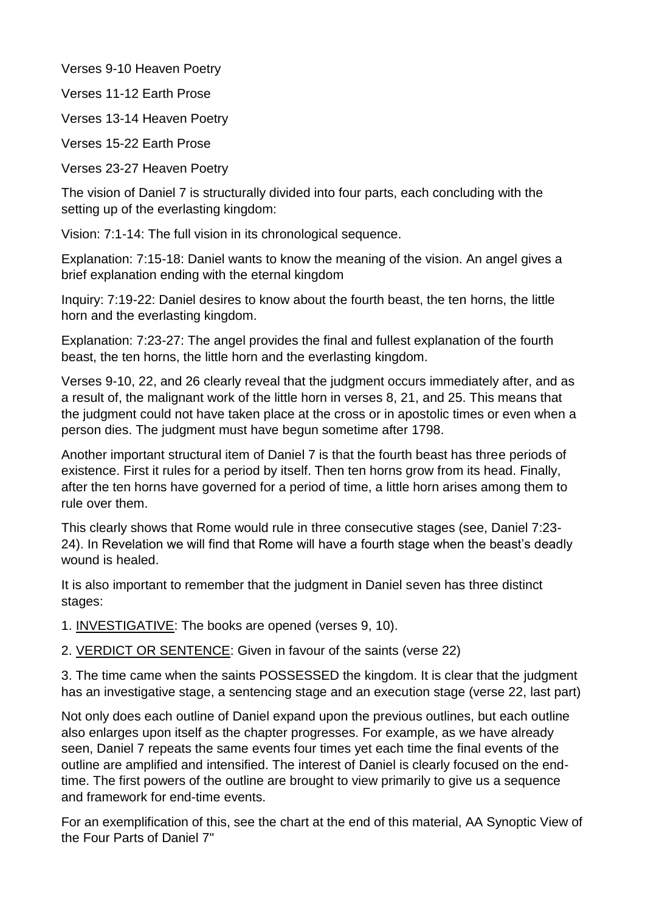Verses 9-10 Heaven Poetry

Verses 11-12 Earth Prose

Verses 13-14 Heaven Poetry

Verses 15-22 Earth Prose

Verses 23-27 Heaven Poetry

The vision of Daniel 7 is structurally divided into four parts, each concluding with the setting up of the everlasting kingdom:

Vision: 7:1-14: The full vision in its chronological sequence.

Explanation: 7:15-18: Daniel wants to know the meaning of the vision. An angel gives a brief explanation ending with the eternal kingdom

Inquiry: 7:19-22: Daniel desires to know about the fourth beast, the ten horns, the little horn and the everlasting kingdom.

Explanation: 7:23-27: The angel provides the final and fullest explanation of the fourth beast, the ten horns, the little horn and the everlasting kingdom.

Verses 9-10, 22, and 26 clearly reveal that the judgment occurs immediately after, and as a result of, the malignant work of the little horn in verses 8, 21, and 25. This means that the judgment could not have taken place at the cross or in apostolic times or even when a person dies. The judgment must have begun sometime after 1798.

Another important structural item of Daniel 7 is that the fourth beast has three periods of existence. First it rules for a period by itself. Then ten horns grow from its head. Finally, after the ten horns have governed for a period of time, a little horn arises among them to rule over them.

This clearly shows that Rome would rule in three consecutive stages (see, Daniel 7:23- 24). In Revelation we will find that Rome will have a fourth stage when the beast's deadly wound is healed.

It is also important to remember that the judgment in Daniel seven has three distinct stages:

1. INVESTIGATIVE: The books are opened (verses 9, 10).

2. VERDICT OR SENTENCE: Given in favour of the saints (verse 22)

3. The time came when the saints POSSESSED the kingdom. It is clear that the judgment has an investigative stage, a sentencing stage and an execution stage (verse 22, last part)

Not only does each outline of Daniel expand upon the previous outlines, but each outline also enlarges upon itself as the chapter progresses. For example, as we have already seen, Daniel 7 repeats the same events four times yet each time the final events of the outline are amplified and intensified. The interest of Daniel is clearly focused on the endtime. The first powers of the outline are brought to view primarily to give us a sequence and framework for end-time events.

For an exemplification of this, see the chart at the end of this material, AA Synoptic View of the Four Parts of Daniel 7"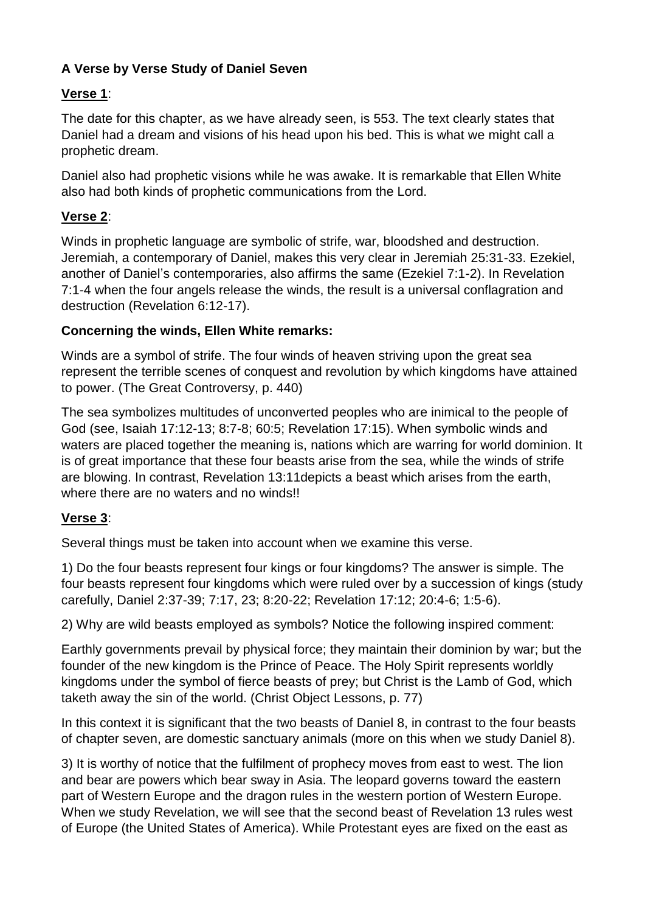### **A Verse by Verse Study of Daniel Seven**

### **Verse 1**:

The date for this chapter, as we have already seen, is 553. The text clearly states that Daniel had a dream and visions of his head upon his bed. This is what we might call a prophetic dream.

Daniel also had prophetic visions while he was awake. It is remarkable that Ellen White also had both kinds of prophetic communications from the Lord.

### **Verse 2**:

Winds in prophetic language are symbolic of strife, war, bloodshed and destruction. Jeremiah, a contemporary of Daniel, makes this very clear in Jeremiah 25:31-33. Ezekiel, another of Daniel's contemporaries, also affirms the same (Ezekiel 7:1-2). In Revelation 7:1-4 when the four angels release the winds, the result is a universal conflagration and destruction (Revelation 6:12-17).

### **Concerning the winds, Ellen White remarks:**

Winds are a symbol of strife. The four winds of heaven striving upon the great sea represent the terrible scenes of conquest and revolution by which kingdoms have attained to power. (The Great Controversy, p. 440)

The sea symbolizes multitudes of unconverted peoples who are inimical to the people of God (see, Isaiah 17:12-13; 8:7-8; 60:5; Revelation 17:15). When symbolic winds and waters are placed together the meaning is, nations which are warring for world dominion. It is of great importance that these four beasts arise from the sea, while the winds of strife are blowing. In contrast, Revelation 13:11depicts a beast which arises from the earth, where there are no waters and no winds!!

# **Verse 3**:

Several things must be taken into account when we examine this verse.

1) Do the four beasts represent four kings or four kingdoms? The answer is simple. The four beasts represent four kingdoms which were ruled over by a succession of kings (study carefully, Daniel 2:37-39; 7:17, 23; 8:20-22; Revelation 17:12; 20:4-6; 1:5-6).

2) Why are wild beasts employed as symbols? Notice the following inspired comment:

Earthly governments prevail by physical force; they maintain their dominion by war; but the founder of the new kingdom is the Prince of Peace. The Holy Spirit represents worldly kingdoms under the symbol of fierce beasts of prey; but Christ is the Lamb of God, which taketh away the sin of the world. (Christ Object Lessons, p. 77)

In this context it is significant that the two beasts of Daniel 8, in contrast to the four beasts of chapter seven, are domestic sanctuary animals (more on this when we study Daniel 8).

3) It is worthy of notice that the fulfilment of prophecy moves from east to west. The lion and bear are powers which bear sway in Asia. The leopard governs toward the eastern part of Western Europe and the dragon rules in the western portion of Western Europe. When we study Revelation, we will see that the second beast of Revelation 13 rules west of Europe (the United States of America). While Protestant eyes are fixed on the east as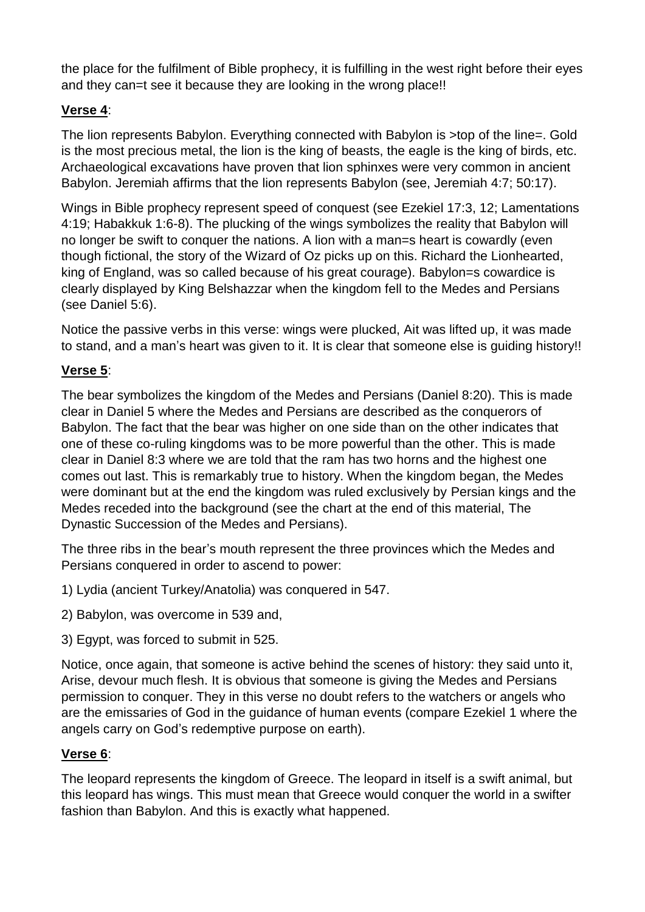the place for the fulfilment of Bible prophecy, it is fulfilling in the west right before their eyes and they can=t see it because they are looking in the wrong place!!

### **Verse 4**:

The lion represents Babylon. Everything connected with Babylon is >top of the line=. Gold is the most precious metal, the lion is the king of beasts, the eagle is the king of birds, etc. Archaeological excavations have proven that lion sphinxes were very common in ancient Babylon. Jeremiah affirms that the lion represents Babylon (see, Jeremiah 4:7; 50:17).

Wings in Bible prophecy represent speed of conquest (see Ezekiel 17:3, 12; Lamentations 4:19; Habakkuk 1:6-8). The plucking of the wings symbolizes the reality that Babylon will no longer be swift to conquer the nations. A lion with a man=s heart is cowardly (even though fictional, the story of the Wizard of Oz picks up on this. Richard the Lionhearted, king of England, was so called because of his great courage). Babylon=s cowardice is clearly displayed by King Belshazzar when the kingdom fell to the Medes and Persians (see Daniel 5:6).

Notice the passive verbs in this verse: wings were plucked, Ait was lifted up, it was made to stand, and a man's heart was given to it. It is clear that someone else is guiding history!!

# **Verse 5**:

The bear symbolizes the kingdom of the Medes and Persians (Daniel 8:20). This is made clear in Daniel 5 where the Medes and Persians are described as the conquerors of Babylon. The fact that the bear was higher on one side than on the other indicates that one of these co-ruling kingdoms was to be more powerful than the other. This is made clear in Daniel 8:3 where we are told that the ram has two horns and the highest one comes out last. This is remarkably true to history. When the kingdom began, the Medes were dominant but at the end the kingdom was ruled exclusively by Persian kings and the Medes receded into the background (see the chart at the end of this material, The Dynastic Succession of the Medes and Persians).

The three ribs in the bear's mouth represent the three provinces which the Medes and Persians conquered in order to ascend to power:

1) Lydia (ancient Turkey/Anatolia) was conquered in 547.

- 2) Babylon, was overcome in 539 and,
- 3) Egypt, was forced to submit in 525.

Notice, once again, that someone is active behind the scenes of history: they said unto it, Arise, devour much flesh. It is obvious that someone is giving the Medes and Persians permission to conquer. They in this verse no doubt refers to the watchers or angels who are the emissaries of God in the guidance of human events (compare Ezekiel 1 where the angels carry on God's redemptive purpose on earth).

# **Verse 6**:

The leopard represents the kingdom of Greece. The leopard in itself is a swift animal, but this leopard has wings. This must mean that Greece would conquer the world in a swifter fashion than Babylon. And this is exactly what happened.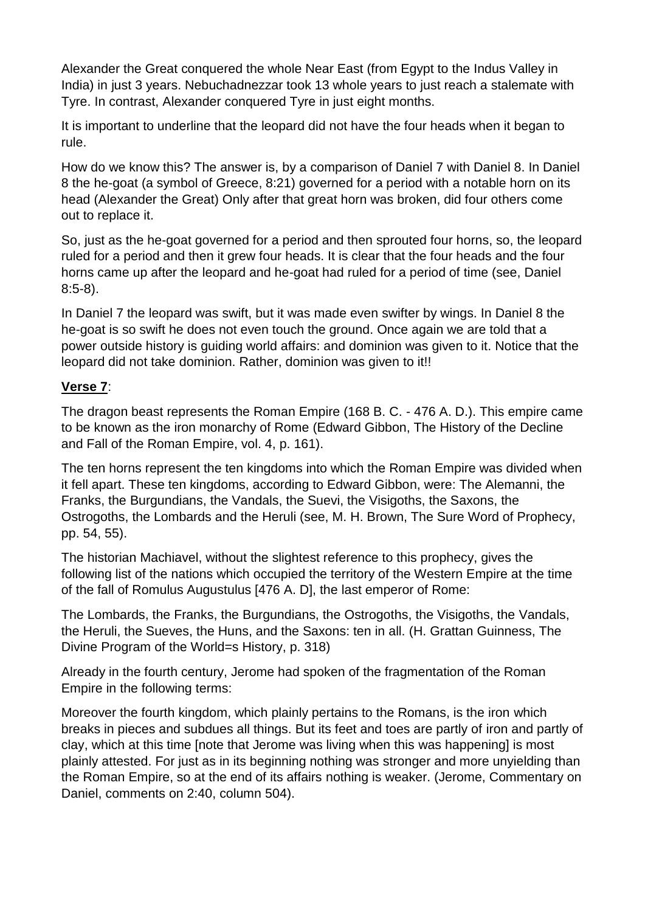Alexander the Great conquered the whole Near East (from Egypt to the Indus Valley in India) in just 3 years. Nebuchadnezzar took 13 whole years to just reach a stalemate with Tyre. In contrast, Alexander conquered Tyre in just eight months.

It is important to underline that the leopard did not have the four heads when it began to rule.

How do we know this? The answer is, by a comparison of Daniel 7 with Daniel 8. In Daniel 8 the he-goat (a symbol of Greece, 8:21) governed for a period with a notable horn on its head (Alexander the Great) Only after that great horn was broken, did four others come out to replace it.

So, just as the he-goat governed for a period and then sprouted four horns, so, the leopard ruled for a period and then it grew four heads. It is clear that the four heads and the four horns came up after the leopard and he-goat had ruled for a period of time (see, Daniel 8:5-8).

In Daniel 7 the leopard was swift, but it was made even swifter by wings. In Daniel 8 the he-goat is so swift he does not even touch the ground. Once again we are told that a power outside history is guiding world affairs: and dominion was given to it. Notice that the leopard did not take dominion. Rather, dominion was given to it!!

#### **Verse 7**:

The dragon beast represents the Roman Empire (168 B. C. - 476 A. D.). This empire came to be known as the iron monarchy of Rome (Edward Gibbon, The History of the Decline and Fall of the Roman Empire, vol. 4, p. 161).

The ten horns represent the ten kingdoms into which the Roman Empire was divided when it fell apart. These ten kingdoms, according to Edward Gibbon, were: The Alemanni, the Franks, the Burgundians, the Vandals, the Suevi, the Visigoths, the Saxons, the Ostrogoths, the Lombards and the Heruli (see, M. H. Brown, The Sure Word of Prophecy, pp. 54, 55).

The historian Machiavel, without the slightest reference to this prophecy, gives the following list of the nations which occupied the territory of the Western Empire at the time of the fall of Romulus Augustulus [476 A. D], the last emperor of Rome:

The Lombards, the Franks, the Burgundians, the Ostrogoths, the Visigoths, the Vandals, the Heruli, the Sueves, the Huns, and the Saxons: ten in all. (H. Grattan Guinness, The Divine Program of the World=s History, p. 318)

Already in the fourth century, Jerome had spoken of the fragmentation of the Roman Empire in the following terms:

Moreover the fourth kingdom, which plainly pertains to the Romans, is the iron which breaks in pieces and subdues all things. But its feet and toes are partly of iron and partly of clay, which at this time [note that Jerome was living when this was happening] is most plainly attested. For just as in its beginning nothing was stronger and more unyielding than the Roman Empire, so at the end of its affairs nothing is weaker. (Jerome, Commentary on Daniel, comments on 2:40, column 504).